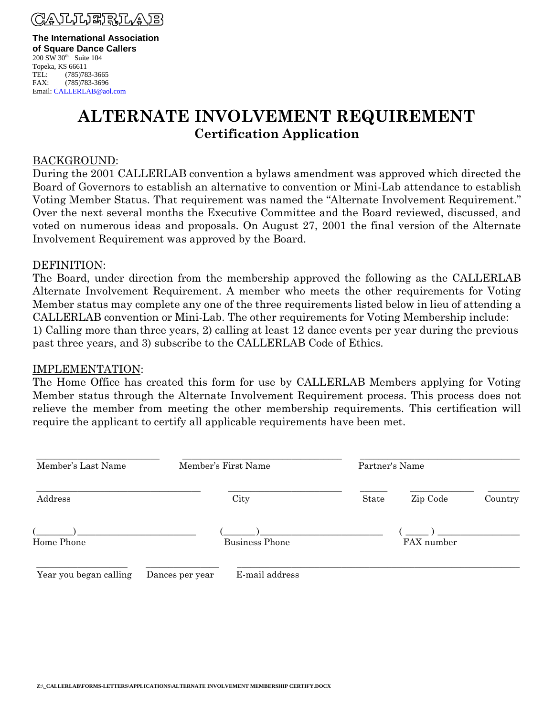

**The International Association of Square Dance Callers**  $200$  SW  $30<sup>th</sup>$  Suite 104 Topeka, KS 66611 TEL: (785)783-3665

# **ALTERNATE INVOLVEMENT REQUIREMENT Certification Application**

### BACKGROUND:

FAX: (785)783-3696 Email: CALLERLAB@aol.com

During the 2001 CALLERLAB convention a bylaws amendment was approved which directed the Board of Governors to establish an alternative to convention or Mini-Lab attendance to establish Voting Member Status. That requirement was named the "Alternate Involvement Requirement." Over the next several months the Executive Committee and the Board reviewed, discussed, and voted on numerous ideas and proposals. On August 27, 2001 the final version of the Alternate Involvement Requirement was approved by the Board.

#### DEFINITION:

The Board, under direction from the membership approved the following as the CALLERLAB Alternate Involvement Requirement. A member who meets the other requirements for Voting Member status may complete any one of the three requirements listed below in lieu of attending a CALLERLAB convention or Mini-Lab. The other requirements for Voting Membership include: 1) Calling more than three years, 2) calling at least 12 dance events per year during the previous past three years, and 3) subscribe to the CALLERLAB Code of Ethics.

#### IMPLEMENTATION:

The Home Office has created this form for use by CALLERLAB Members applying for Voting Member status through the Alternate Involvement Requirement process. This process does not relieve the member from meeting the other membership requirements. This certification will require the applicant to certify all applicable requirements have been met.

| Member's Last Name     | Member's First Name               | Partner's Name |            |         |
|------------------------|-----------------------------------|----------------|------------|---------|
| Address                | City                              | State          | Zip Code   | Country |
| Home Phone             | <b>Business Phone</b>             |                | FAX number |         |
| Year you began calling | E-mail address<br>Dances per year |                |            |         |